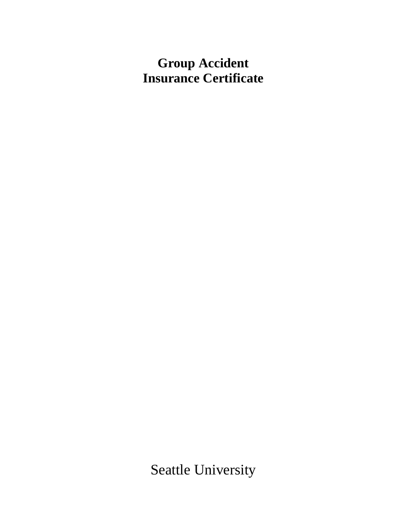# **Group Accident Insurance Certificate**

Seattle University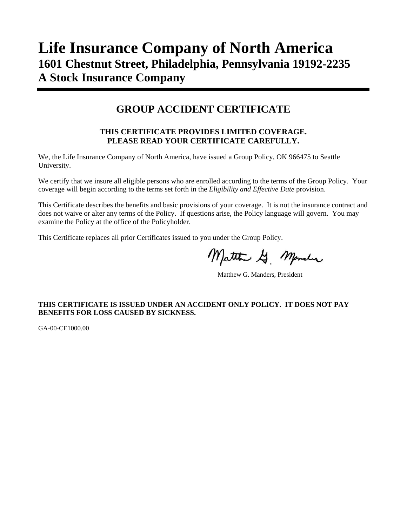# **Life Insurance Company of North America 1601 Chestnut Street, Philadelphia, Pennsylvania 19192-2235 A Stock Insurance Company**

# **GROUP ACCIDENT CERTIFICATE**

### **THIS CERTIFICATE PROVIDES LIMITED COVERAGE. PLEASE READ YOUR CERTIFICATE CAREFULLY.**

We, the Life Insurance Company of North America, have issued a Group Policy, OK 966475 to Seattle University.

We certify that we insure all eligible persons who are enrolled according to the terms of the Group Policy. Your coverage will begin according to the terms set forth in the *Eligibility and Effective Date* provision.

This Certificate describes the benefits and basic provisions of your coverage. It is not the insurance contract and does not waive or alter any terms of the Policy. If questions arise, the Policy language will govern. You may examine the Policy at the office of the Policyholder.

This Certificate replaces all prior Certificates issued to you under the Group Policy.

Matthe G. Mander

Matthew G. Manders, President

#### **THIS CERTIFICATE IS ISSUED UNDER AN ACCIDENT ONLY POLICY. IT DOES NOT PAY BENEFITS FOR LOSS CAUSED BY SICKNESS.**

GA-00-CE1000.00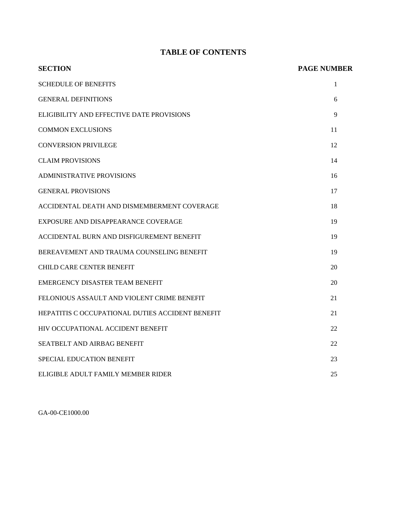### **TABLE OF CONTENTS**

| <b>SECTION</b>                                   | <b>PAGE NUMBER</b> |
|--------------------------------------------------|--------------------|
| <b>SCHEDULE OF BENEFITS</b>                      | 1                  |
| <b>GENERAL DEFINITIONS</b>                       | 6                  |
| ELIGIBILITY AND EFFECTIVE DATE PROVISIONS        | 9                  |
| <b>COMMON EXCLUSIONS</b>                         | 11                 |
| <b>CONVERSION PRIVILEGE</b>                      | 12                 |
| <b>CLAIM PROVISIONS</b>                          | 14                 |
| <b>ADMINISTRATIVE PROVISIONS</b>                 | 16                 |
| <b>GENERAL PROVISIONS</b>                        | 17                 |
| ACCIDENTAL DEATH AND DISMEMBERMENT COVERAGE      | 18                 |
| EXPOSURE AND DISAPPEARANCE COVERAGE              | 19                 |
| ACCIDENTAL BURN AND DISFIGUREMENT BENEFIT        | 19                 |
| BEREAVEMENT AND TRAUMA COUNSELING BENEFIT        | 19                 |
| <b>CHILD CARE CENTER BENEFIT</b>                 | 20                 |
| EMERGENCY DISASTER TEAM BENEFIT                  | 20                 |
| FELONIOUS ASSAULT AND VIOLENT CRIME BENEFIT      | 21                 |
| HEPATITIS C OCCUPATIONAL DUTIES ACCIDENT BENEFIT | 21                 |
| HIV OCCUPATIONAL ACCIDENT BENEFIT                | 22                 |
| SEATBELT AND AIRBAG BENEFIT                      | 22                 |
| SPECIAL EDUCATION BENEFIT                        | 23                 |
| ELIGIBLE ADULT FAMILY MEMBER RIDER               | 25                 |

GA-00-CE1000.00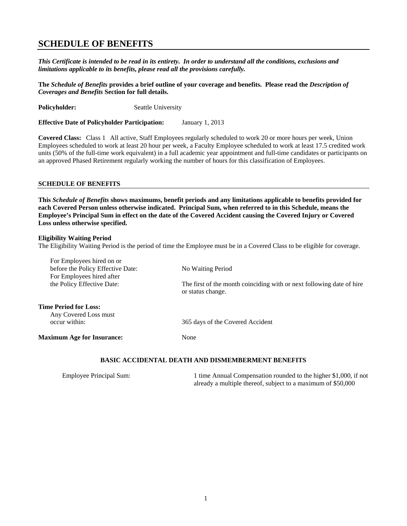### **SCHEDULE OF BENEFITS**

*This Certificate is intended to be read in its entirety. In order to understand all the conditions, exclusions and limitations applicable to its benefits, please read all the provisions carefully.* 

**The** *Schedule of Benefits* **provides a brief outline of your coverage and benefits. Please read the** *Description of Coverages and Benefits* **Section for full details.**

**Policyholder:** Seattle University

**Effective Date of Policyholder Participation:** January 1, 2013

**Covered Class:** Class 1 All active, Staff Employees regularly scheduled to work 20 or more hours per week, Union Employees scheduled to work at least 20 hour per week, a Faculty Employee scheduled to work at least 17.5 credited work units (50% of the full-time work equivalent) in a full academic year appointment and full-time candidates or participants on an approved Phased Retirement regularly working the number of hours for this classification of Employees.

#### **SCHEDULE OF BENEFITS**

**This** *Schedule of Benefits* **shows maximums, benefit periods and any limitations applicable to benefits provided for each Covered Person unless otherwise indicated. Principal Sum, when referred to in this Schedule, means the Employee's Principal Sum in effect on the date of the Covered Accident causing the Covered Injury or Covered Loss unless otherwise specified.**

#### **Eligibility Waiting Period**

The Eligibility Waiting Period is the period of time the Employee must be in a Covered Class to be eligible for coverage.

| For Employees hired on or                                      |                                                                                            |
|----------------------------------------------------------------|--------------------------------------------------------------------------------------------|
| before the Policy Effective Date:<br>For Employees hired after | No Waiting Period                                                                          |
| the Policy Effective Date:                                     | The first of the month coinciding with or next following date of hire<br>or status change. |
| <b>Time Period for Loss:</b><br>Any Covered Loss must          |                                                                                            |
| occur within:                                                  | 365 days of the Covered Accident                                                           |
| <b>Maximum Age for Insurance:</b>                              | None                                                                                       |
|                                                                |                                                                                            |

|  | BASIC ACCIDENTAL DEATH AND DISMEMBERMENT BENEFITS |
|--|---------------------------------------------------|
|--|---------------------------------------------------|

| <b>Employee Principal Sum:</b> | 1 time Annual Compensation rounded to the higher \$1,000, if not |
|--------------------------------|------------------------------------------------------------------|
|                                | already a multiple thereof, subject to a maximum of \$50,000     |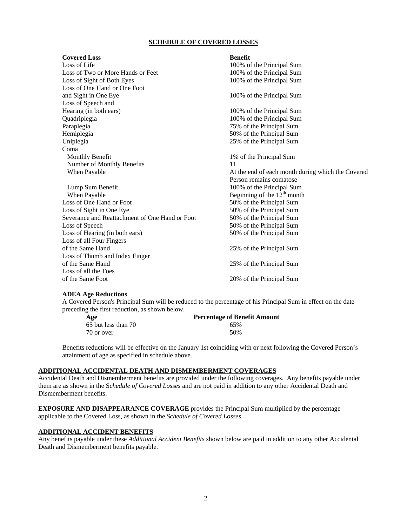#### **SCHEDULE OF COVERED LOSSES**

| <b>Covered Loss</b>                            | <b>Benefit</b>                                    |
|------------------------------------------------|---------------------------------------------------|
| Loss of Life                                   | 100% of the Principal Sum                         |
| Loss of Two or More Hands or Feet              | 100% of the Principal Sum                         |
| Loss of Sight of Both Eyes                     | 100% of the Principal Sum                         |
| Loss of One Hand or One Foot                   |                                                   |
| and Sight in One Eye                           | 100% of the Principal Sum                         |
| Loss of Speech and                             |                                                   |
| Hearing (in both ears)                         | 100% of the Principal Sum                         |
| Quadriplegia                                   | 100% of the Principal Sum                         |
| Paraplegia                                     | 75% of the Principal Sum                          |
| Hemiplegia                                     | 50% of the Principal Sum                          |
| Uniplegia                                      | 25% of the Principal Sum                          |
| Coma                                           |                                                   |
| Monthly Benefit                                | 1% of the Principal Sum                           |
| Number of Monthly Benefits                     | 11                                                |
| When Payable                                   | At the end of each month during which the Covered |
|                                                | Person remains comatose                           |
| Lump Sum Benefit                               | 100% of the Principal Sum                         |
| When Payable                                   | Beginning of the $12th$ month                     |
| Loss of One Hand or Foot                       | 50% of the Principal Sum                          |
| Loss of Sight in One Eye                       | 50% of the Principal Sum                          |
| Severance and Reattachment of One Hand or Foot | 50% of the Principal Sum                          |
| Loss of Speech                                 | 50% of the Principal Sum                          |
| Loss of Hearing (in both ears)                 | 50% of the Principal Sum                          |
| Loss of all Four Fingers                       |                                                   |
| of the Same Hand                               | 25% of the Principal Sum                          |
| Loss of Thumb and Index Finger                 |                                                   |
| of the Same Hand                               | 25% of the Principal Sum                          |
| Loss of all the Toes                           |                                                   |
| of the Same Foot                               | 20% of the Principal Sum                          |
|                                                |                                                   |

#### **ADEA Age Reductions**

A Covered Person's Principal Sum will be reduced to the percentage of his Principal Sum in effect on the date preceding the first reduction, as shown below.

| Age                 | <b>Percentage of Benefit Amount</b> |
|---------------------|-------------------------------------|
| 65 but less than 70 | 65%                                 |
| 70 or over          | 50%                                 |

Benefits reductions will be effective on the January 1st coinciding with or next following the Covered Person's attainment of age as specified in schedule above.

#### **ADDITIONAL ACCIDENTAL DEATH AND DISMEMBERMENT COVERAGES**

Accidental Death and Dismemberment benefits are provided under the following coverages. Any benefits payable under them are as shown in the S*chedule of Covered Losses* and are not paid in addition to any other Accidental Death and Dismemberment benefits.

**EXPOSURE AND DISAPPEARANCE COVERAGE** provides the Principal Sum multiplied by the percentage applicable to the Covered Loss, as shown in the *Schedule of Covered Losses*.

#### **ADDITIONAL ACCIDENT BENEFITS**

Any benefits payable under these *Additional Accident Benefits* shown below are paid in addition to any other Accidental Death and Dismemberment benefits payable.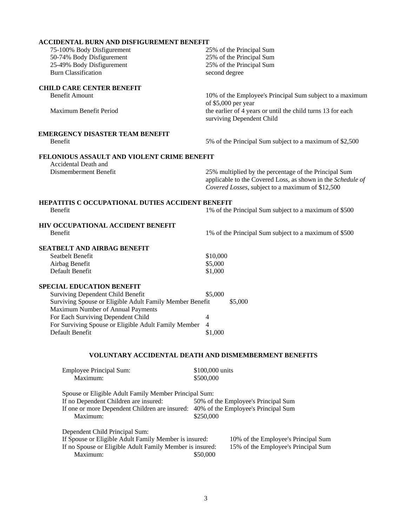| <b>ACCIDENTAL BURN AND DISFIGUREMENT BENEFIT</b>                                               |                                                                                                                 |
|------------------------------------------------------------------------------------------------|-----------------------------------------------------------------------------------------------------------------|
| 75-100% Body Disfigurement                                                                     | 25% of the Principal Sum                                                                                        |
| 50-74% Body Disfigurement                                                                      | 25% of the Principal Sum                                                                                        |
| 25-49% Body Disfigurement                                                                      | 25% of the Principal Sum                                                                                        |
| <b>Burn Classification</b>                                                                     | second degree                                                                                                   |
| <b>CHILD CARE CENTER BENEFIT</b>                                                               |                                                                                                                 |
| <b>Benefit Amount</b>                                                                          | 10% of the Employee's Principal Sum subject to a maximum                                                        |
|                                                                                                | of \$5,000 per year                                                                                             |
| Maximum Benefit Period                                                                         | the earlier of 4 years or until the child turns 13 for each<br>surviving Dependent Child                        |
| <b>EMERGENCY DISASTER TEAM BENEFIT</b>                                                         |                                                                                                                 |
| Benefit                                                                                        | 5% of the Principal Sum subject to a maximum of \$2,500                                                         |
| FELONIOUS ASSAULT AND VIOLENT CRIME BENEFIT                                                    |                                                                                                                 |
| Accidental Death and                                                                           |                                                                                                                 |
| Dismemberment Benefit                                                                          | 25% multiplied by the percentage of the Principal Sum                                                           |
|                                                                                                | applicable to the Covered Loss, as shown in the Schedule of<br>Covered Losses, subject to a maximum of \$12,500 |
| HEPATITIS C OCCUPATIONAL DUTIES ACCIDENT BENEFIT                                               |                                                                                                                 |
| Benefit                                                                                        | 1% of the Principal Sum subject to a maximum of \$500                                                           |
| HIV OCCUPATIONAL ACCIDENT BENEFIT                                                              |                                                                                                                 |
| Benefit                                                                                        | 1% of the Principal Sum subject to a maximum of \$500                                                           |
|                                                                                                |                                                                                                                 |
| SEATBELT AND AIRBAG BENEFIT                                                                    |                                                                                                                 |
| Seatbelt Benefit                                                                               | \$10,000                                                                                                        |
| Airbag Benefit                                                                                 | \$5,000                                                                                                         |
| Default Benefit                                                                                | \$1,000                                                                                                         |
| <b>SPECIAL EDUCATION BENEFIT</b>                                                               |                                                                                                                 |
| <b>Surviving Dependent Child Benefit</b>                                                       | \$5,000                                                                                                         |
| Surviving Spouse or Eligible Adult Family Member Benefit                                       | \$5,000                                                                                                         |
| Maximum Number of Annual Payments                                                              |                                                                                                                 |
| For Each Surviving Dependent Child                                                             | 4                                                                                                               |
| For Surviving Spouse or Eligible Adult Family Member                                           | 4                                                                                                               |
| Default Benefit                                                                                | \$1,000                                                                                                         |
|                                                                                                | <b>VOLUNTARY ACCIDENTAL DEATH AND DISMEMBERMENT BENEFITS</b>                                                    |
| <b>Employee Principal Sum:</b>                                                                 | \$100,000 units                                                                                                 |
| Maximum:                                                                                       | \$500,000                                                                                                       |
|                                                                                                |                                                                                                                 |
| Spouse or Eligible Adult Family Member Principal Sum:<br>If no Dependent Children are insured: | 50% of the Employee's Principal Sum                                                                             |
| If one or more Dependent Children are insured: 40% of the Employee's Principal Sum             |                                                                                                                 |
| Maximum:                                                                                       | \$250,000                                                                                                       |
| Dependent Child Principal Sum:                                                                 |                                                                                                                 |
| If Spouse or Eligible Adult Family Member is insured:                                          | 10% of the Employee's Principal Sum                                                                             |

If no Spouse or Eligible Adult Family Member is insured: 15% of the Employee's Principal Sum Maximum: \$50,000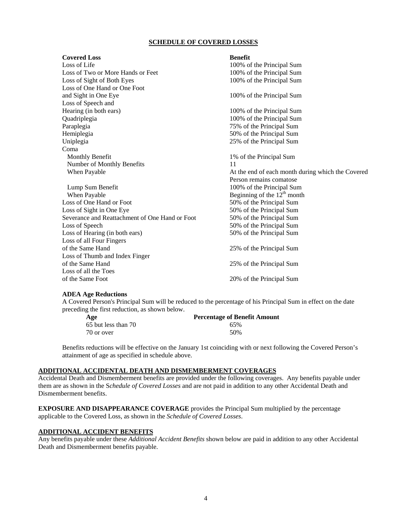#### **SCHEDULE OF COVERED LOSSES**

| <b>Covered Loss</b>                            | <b>Benefit</b>                                    |
|------------------------------------------------|---------------------------------------------------|
| Loss of Life                                   | 100% of the Principal Sum                         |
| Loss of Two or More Hands or Feet              | 100% of the Principal Sum                         |
| Loss of Sight of Both Eyes                     | 100% of the Principal Sum                         |
| Loss of One Hand or One Foot                   |                                                   |
| and Sight in One Eye                           | 100% of the Principal Sum                         |
| Loss of Speech and                             |                                                   |
| Hearing (in both ears)                         | 100% of the Principal Sum                         |
| Quadriplegia                                   | 100% of the Principal Sum                         |
| Paraplegia                                     | 75% of the Principal Sum                          |
| Hemiplegia                                     | 50% of the Principal Sum                          |
| Uniplegia                                      | 25% of the Principal Sum                          |
| Coma                                           |                                                   |
| Monthly Benefit                                | 1% of the Principal Sum                           |
| Number of Monthly Benefits                     | 11                                                |
| When Payable                                   | At the end of each month during which the Covered |
|                                                | Person remains comatose                           |
| Lump Sum Benefit                               | 100% of the Principal Sum                         |
| When Payable                                   | Beginning of the $12th$ month                     |
| Loss of One Hand or Foot                       | 50% of the Principal Sum                          |
| Loss of Sight in One Eye                       | 50% of the Principal Sum                          |
| Severance and Reattachment of One Hand or Foot | 50% of the Principal Sum                          |
| Loss of Speech                                 | 50% of the Principal Sum                          |
| Loss of Hearing (in both ears)                 | 50% of the Principal Sum                          |
| Loss of all Four Fingers                       |                                                   |
| of the Same Hand                               | 25% of the Principal Sum                          |
| Loss of Thumb and Index Finger                 |                                                   |
| of the Same Hand                               | 25% of the Principal Sum                          |
| Loss of all the Toes                           |                                                   |
| of the Same Foot                               | 20% of the Principal Sum                          |
|                                                |                                                   |

#### **ADEA Age Reductions**

A Covered Person's Principal Sum will be reduced to the percentage of his Principal Sum in effect on the date preceding the first reduction, as shown below.

| Age                 | <b>Percentage of Benefit Amount</b> |
|---------------------|-------------------------------------|
| 65 but less than 70 | 65%                                 |
| 70 or over          | 50%                                 |

Benefits reductions will be effective on the January 1st coinciding with or next following the Covered Person's attainment of age as specified in schedule above.

#### **ADDITIONAL ACCIDENTAL DEATH AND DISMEMBERMENT COVERAGES**

Accidental Death and Dismemberment benefits are provided under the following coverages. Any benefits payable under them are as shown in the S*chedule of Covered Losses* and are not paid in addition to any other Accidental Death and Dismemberment benefits.

**EXPOSURE AND DISAPPEARANCE COVERAGE** provides the Principal Sum multiplied by the percentage applicable to the Covered Loss, as shown in the *Schedule of Covered Losses*.

#### **ADDITIONAL ACCIDENT BENEFITS**

Any benefits payable under these *Additional Accident Benefits* shown below are paid in addition to any other Accidental Death and Dismemberment benefits payable.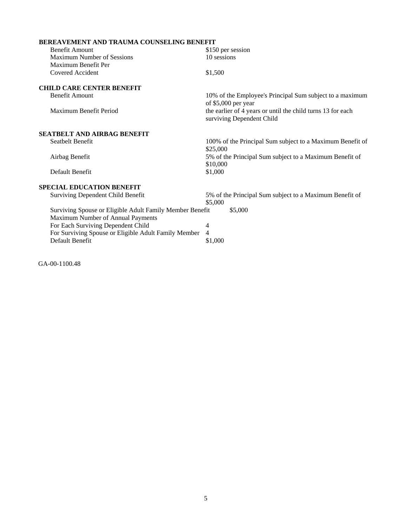| <b>BEREAVEMENT AND TRAUMA COUNSELING BENEFIT</b>         |                                                                                          |
|----------------------------------------------------------|------------------------------------------------------------------------------------------|
| <b>Benefit Amount</b>                                    | \$150 per session                                                                        |
| <b>Maximum Number of Sessions</b>                        | 10 sessions                                                                              |
| Maximum Benefit Per                                      |                                                                                          |
| Covered Accident                                         | \$1,500                                                                                  |
| <b>CHILD CARE CENTER BENEFIT</b>                         |                                                                                          |
| <b>Benefit Amount</b>                                    | 10% of the Employee's Principal Sum subject to a maximum<br>of \$5,000 per year          |
| Maximum Benefit Period                                   | the earlier of 4 years or until the child turns 13 for each<br>surviving Dependent Child |
| <b>SEATBELT AND AIRBAG BENEFIT</b>                       |                                                                                          |
| Seatbelt Benefit                                         | 100% of the Principal Sum subject to a Maximum Benefit of<br>\$25,000                    |
| Airbag Benefit                                           | 5% of the Principal Sum subject to a Maximum Benefit of<br>\$10,000                      |
| Default Benefit                                          | \$1,000                                                                                  |
| <b>SPECIAL EDUCATION BENEFIT</b>                         |                                                                                          |
| <b>Surviving Dependent Child Benefit</b>                 | 5% of the Principal Sum subject to a Maximum Benefit of<br>\$5,000                       |
| Surviving Spouse or Eligible Adult Family Member Benefit | \$5,000                                                                                  |
| Maximum Number of Annual Payments                        |                                                                                          |
| For Each Surviving Dependent Child                       | 4                                                                                        |
| For Surviving Spouse or Eligible Adult Family Member     | 4                                                                                        |
| Default Benefit                                          | \$1,000                                                                                  |

GA-00-1100.48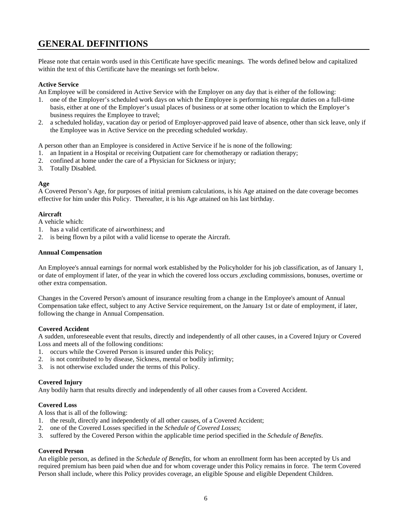# **GENERAL DEFINITIONS**

Please note that certain words used in this Certificate have specific meanings. The words defined below and capitalized within the text of this Certificate have the meanings set forth below.

#### **Active Service**

An Employee will be considered in Active Service with the Employer on any day that is either of the following:

- 1. one of the Employer's scheduled work days on which the Employee is performing his regular duties on a full-time basis, either at one of the Employer's usual places of business or at some other location to which the Employer's business requires the Employee to travel;
- 2. a scheduled holiday, vacation day or period of Employer-approved paid leave of absence, other than sick leave, only if the Employee was in Active Service on the preceding scheduled workday.

A person other than an Employee is considered in Active Service if he is none of the following:

- 1. an Inpatient in a Hospital or receiving Outpatient care for chemotherapy or radiation therapy;
- 2. confined at home under the care of a Physician for Sickness or injury;
- 3. Totally Disabled.

#### **Age**

A Covered Person's Age, for purposes of initial premium calculations, is his Age attained on the date coverage becomes effective for him under this Policy. Thereafter, it is his Age attained on his last birthday.

#### **Aircraft**

A vehicle which:

- 1. has a valid certificate of airworthiness; and
- 2. is being flown by a pilot with a valid license to operate the Aircraft.

#### **Annual Compensation**

An Employee's annual earnings for normal work established by the Policyholder for his job classification, as of January 1, or date of employment if later, of the year in which the covered loss occurs ,excluding commissions, bonuses, overtime or other extra compensation.

Changes in the Covered Person's amount of insurance resulting from a change in the Employee's amount of Annual Compensation take effect, subject to any Active Service requirement, on the January 1st or date of employment, if later, following the change in Annual Compensation.

#### **Covered Accident**

A sudden, unforeseeable event that results, directly and independently of all other causes, in a Covered Injury or Covered Loss and meets all of the following conditions:

- 1. occurs while the Covered Person is insured under this Policy;
- 2. is not contributed to by disease, Sickness, mental or bodily infirmity;
- 3. is not otherwise excluded under the terms of this Policy.

#### **Covered Injury**

Any bodily harm that results directly and independently of all other causes from a Covered Accident.

#### **Covered Loss**

A loss that is all of the following:

- 1. the result, directly and independently of all other causes, of a Covered Accident;
- 2. one of the Covered Losses specified in the *Schedule of Covered Losses*;
- 3. suffered by the Covered Person within the applicable time period specified in the *Schedule of Benefits*.

#### **Covered Person**

An eligible person, as defined in the *Schedule of Benefits*, for whom an enrollment form has been accepted by Us and required premium has been paid when due and for whom coverage under this Policy remains in force. The term Covered Person shall include, where this Policy provides coverage, an eligible Spouse and eligible Dependent Children.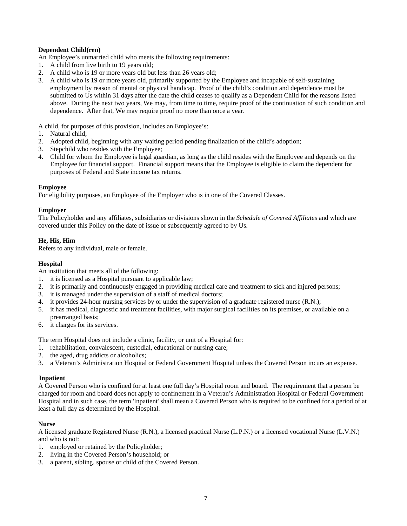#### **Dependent Child(ren)**

An Employee's unmarried child who meets the following requirements:

- 1. A child from live birth to 19 years old;
- 2. A child who is 19 or more years old but less than 26 years old;
- 3. A child who is 19 or more years old, primarily supported by the Employee and incapable of self-sustaining employment by reason of mental or physical handicap. Proof of the child's condition and dependence must be submitted to Us within 31 days after the date the child ceases to qualify as a Dependent Child for the reasons listed above. During the next two years, We may, from time to time, require proof of the continuation of such condition and dependence. After that, We may require proof no more than once a year.

A child, for purposes of this provision, includes an Employee's:

- 1. Natural child;
- 2. Adopted child, beginning with any waiting period pending finalization of the child's adoption;
- 3. Stepchild who resides with the Employee;
- 4. Child for whom the Employee is legal guardian, as long as the child resides with the Employee and depends on the Employee for financial support. Financial support means that the Employee is eligible to claim the dependent for purposes of Federal and State income tax returns.

#### **Employee**

For eligibility purposes, an Employee of the Employer who is in one of the Covered Classes.

#### **Employer**

The Policyholder and any affiliates, subsidiaries or divisions shown in the *Schedule of Covered Affiliates* and which are covered under this Policy on the date of issue or subsequently agreed to by Us.

#### **He, His, Him**

Refers to any individual, male or female.

#### **Hospital**

An institution that meets all of the following:

- 1. it is licensed as a Hospital pursuant to applicable law;
- 2. it is primarily and continuously engaged in providing medical care and treatment to sick and injured persons;
- 3. it is managed under the supervision of a staff of medical doctors;
- 4. it provides 24-hour nursing services by or under the supervision of a graduate registered nurse (R.N.);
- 5. it has medical, diagnostic and treatment facilities, with major surgical facilities on its premises, or available on a prearranged basis;
- 6. it charges for its services.

The term Hospital does not include a clinic, facility, or unit of a Hospital for:

- 1. rehabilitation, convalescent, custodial, educational or nursing care;
- 2. the aged, drug addicts or alcoholics;
- 3. a Veteran's Administration Hospital or Federal Government Hospital unless the Covered Person incurs an expense.

#### **Inpatient**

A Covered Person who is confined for at least one full day's Hospital room and board. The requirement that a person be charged for room and board does not apply to confinement in a Veteran's Administration Hospital or Federal Government Hospital and in such case, the term 'Inpatient' shall mean a Covered Person who is required to be confined for a period of at least a full day as determined by the Hospital.

#### **Nurse**

A licensed graduate Registered Nurse (R.N.), a licensed practical Nurse (L.P.N.) or a licensed vocational Nurse (L.V.N.) and who is not:

- 1. employed or retained by the Policyholder;
- 2. living in the Covered Person's household; or
- 3. a parent, sibling, spouse or child of the Covered Person.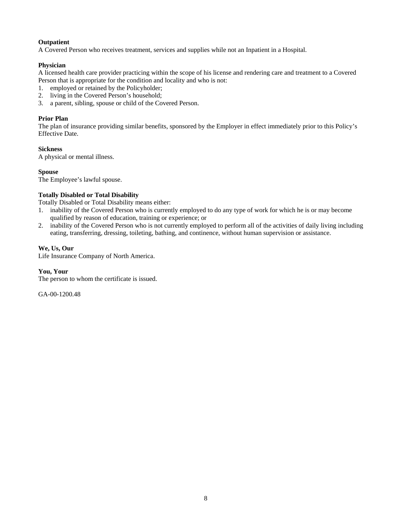#### **Outpatient**

A Covered Person who receives treatment, services and supplies while not an Inpatient in a Hospital.

#### **Physician**

A licensed health care provider practicing within the scope of his license and rendering care and treatment to a Covered Person that is appropriate for the condition and locality and who is not:

- 1. employed or retained by the Policyholder;
- 2. living in the Covered Person's household;
- 3. a parent, sibling, spouse or child of the Covered Person.

#### **Prior Plan**

The plan of insurance providing similar benefits, sponsored by the Employer in effect immediately prior to this Policy's Effective Date.

#### **Sickness**

A physical or mental illness.

#### **Spouse**

The Employee's lawful spouse.

#### **Totally Disabled or Total Disability**

Totally Disabled or Total Disability means either:

- 1. inability of the Covered Person who is currently employed to do any type of work for which he is or may become qualified by reason of education, training or experience; or
- 2. inability of the Covered Person who is not currently employed to perform all of the activities of daily living including eating, transferring, dressing, toileting, bathing, and continence, without human supervision or assistance.

#### **We, Us, Our**

Life Insurance Company of North America.

#### **You, Your**

The person to whom the certificate is issued.

GA-00-1200.48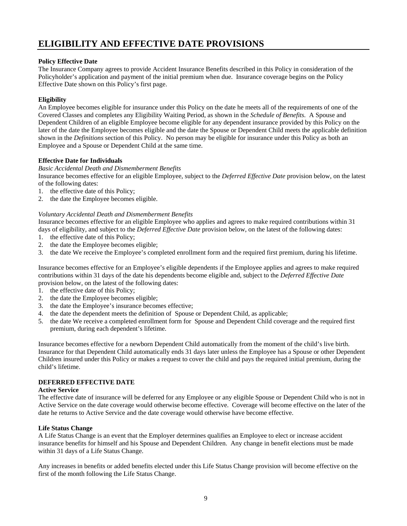# **ELIGIBILITY AND EFFECTIVE DATE PROVISIONS**

#### **Policy Effective Date**

The Insurance Company agrees to provide Accident Insurance Benefits described in this Policy in consideration of the Policyholder's application and payment of the initial premium when due. Insurance coverage begins on the Policy Effective Date shown on this Policy's first page.

#### **Eligibility**

An Employee becomes eligible for insurance under this Policy on the date he meets all of the requirements of one of the Covered Classes and completes any Eligibility Waiting Period, as shown in the *Schedule of Benefits.* A Spouse and Dependent Children of an eligible Employee become eligible for any dependent insurance provided by this Policy on the later of the date the Employee becomes eligible and the date the Spouse or Dependent Child meets the applicable definition shown in the *Definitions* section of this Policy. No person may be eligible for insurance under this Policy as both an Employee and a Spouse or Dependent Child at the same time.

#### **Effective Date for Individuals**

#### *Basic Accidental Death and Dismemberment Benefits*

Insurance becomes effective for an eligible Employee, subject to the *Deferred Effective Date* provision below, on the latest of the following dates:

- 1. the effective date of this Policy;
- 2. the date the Employee becomes eligible.

#### *Voluntary Accidental Death and Dismemberment Benefits*

Insurance becomes effective for an eligible Employee who applies and agrees to make required contributions within 31 days of eligibility, and subject to the *Deferred Effective Date* provision below, on the latest of the following dates:

- 1. the effective date of this Policy;
- 2. the date the Employee becomes eligible;
- 3. the date We receive the Employee's completed enrollment form and the required first premium, during his lifetime.

Insurance becomes effective for an Employee's eligible dependents if the Employee applies and agrees to make required contributions within 31 days of the date his dependents become eligible and, subject to the *Deferred Effective Date* provision below, on the latest of the following dates:

- 1. the effective date of this Policy;
- 2. the date the Employee becomes eligible;
- 3. the date the Employee's insurance becomes effective;
- 4. the date the dependent meets the definition of Spouse or Dependent Child, as applicable;
- 5. the date We receive a completed enrollment form for Spouse and Dependent Child coverage and the required first premium, during each dependent's lifetime.

Insurance becomes effective for a newborn Dependent Child automatically from the moment of the child's live birth. Insurance for that Dependent Child automatically ends 31 days later unless the Employee has a Spouse or other Dependent Children insured under this Policy or makes a request to cover the child and pays the required initial premium, during the child's lifetime.

#### **DEFERRED EFFECTIVE DATE**

#### **Active Service**

The effective date of insurance will be deferred for any Employee or any eligible Spouse or Dependent Child who is not in Active Service on the date coverage would otherwise become effective. Coverage will become effective on the later of the date he returns to Active Service and the date coverage would otherwise have become effective.

#### **Life Status Change**

A Life Status Change is an event that the Employer determines qualifies an Employee to elect or increase accident insurance benefits for himself and his Spouse and Dependent Children. Any change in benefit elections must be made within 31 days of a Life Status Change.

Any increases in benefits or added benefits elected under this Life Status Change provision will become effective on the first of the month following the Life Status Change.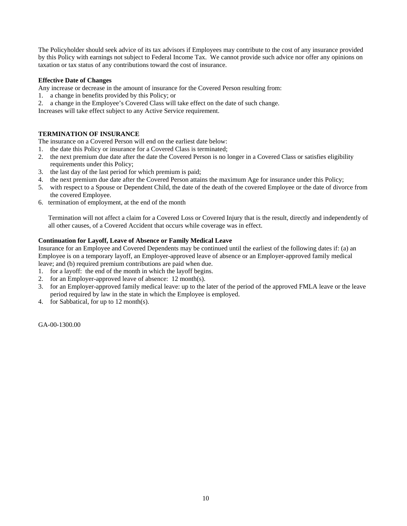The Policyholder should seek advice of its tax advisors if Employees may contribute to the cost of any insurance provided by this Policy with earnings not subject to Federal Income Tax. We cannot provide such advice nor offer any opinions on taxation or tax status of any contributions toward the cost of insurance.

#### **Effective Date of Changes**

Any increase or decrease in the amount of insurance for the Covered Person resulting from:

- 1. a change in benefits provided by this Policy; or
- 2. a change in the Employee's Covered Class will take effect on the date of such change.

Increases will take effect subject to any Active Service requirement.

#### **TERMINATION OF INSURANCE**

The insurance on a Covered Person will end on the earliest date below:

- 1. the date this Policy or insurance for a Covered Class is terminated;
- 2. the next premium due date after the date the Covered Person is no longer in a Covered Class or satisfies eligibility requirements under this Policy;
- 3. the last day of the last period for which premium is paid;
- 4. the next premium due date after the Covered Person attains the maximum Age for insurance under this Policy;
- 5. with respect to a Spouse or Dependent Child, the date of the death of the covered Employee or the date of divorce from the covered Employee.
- 6. termination of employment, at the end of the month

Termination will not affect a claim for a Covered Loss or Covered Injury that is the result, directly and independently of all other causes, of a Covered Accident that occurs while coverage was in effect.

#### **Continuation for Layoff, Leave of Absence or Family Medical Leave**

Insurance for an Employee and Covered Dependents may be continued until the earliest of the following dates if: (a) an Employee is on a temporary layoff, an Employer-approved leave of absence or an Employer-approved family medical leave; and (b) required premium contributions are paid when due.

- 1. for a layoff: the end of the month in which the layoff begins.
- 2. for an Employer-approved leave of absence: 12 month(s).
- 3. for an Employer-approved family medical leave: up to the later of the period of the approved FMLA leave or the leave period required by law in the state in which the Employee is employed.
- 4. for Sabbatical, for up to 12 month(s).

GA-00-1300.00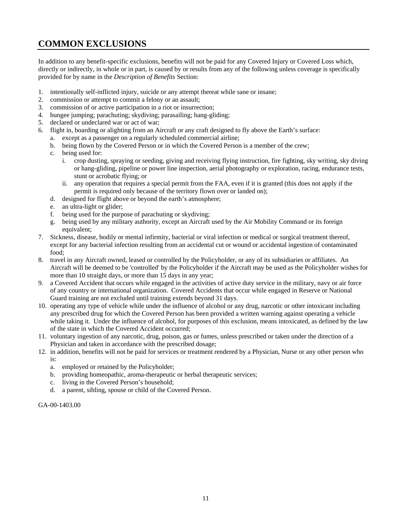# **COMMON EXCLUSIONS**

In addition to any benefit-specific exclusions, benefits will not be paid for any Covered Injury or Covered Loss which, directly or indirectly, in whole or in part, is caused by or results from any of the following unless coverage is specifically provided for by name in the *Description of Benefits* Section:

- 1. intentionally self-inflicted injury, suicide or any attempt thereat while sane or insane;
- 2. commission or attempt to commit a felony or an assault;
- 3. commission of or active participation in a riot or insurrection;
- 4. bungee jumping; parachuting; skydiving; parasailing; hang-gliding;
- 5. declared or undeclared war or act of war;
- 6. flight in, boarding or alighting from an Aircraft or any craft designed to fly above the Earth's surface:
	- a. except as a passenger on a regularly scheduled commercial airline;
		- b. being flown by the Covered Person or in which the Covered Person is a member of the crew;
		- c. being used for:
			- i. crop dusting, spraying or seeding, giving and receiving flying instruction, fire fighting, sky writing, sky diving or hang-gliding, pipeline or power line inspection, aerial photography or exploration, racing, endurance tests, stunt or acrobatic flying; or
			- ii. any operation that requires a special permit from the FAA, even if it is granted (this does not apply if the permit is required only because of the territory flown over or landed on);
		- d. designed for flight above or beyond the earth's atmosphere;
		- e. an ultra-light or glider;
		- f. being used for the purpose of parachuting or skydiving;
		- g. being used by any military authority, except an Aircraft used by the Air Mobility Command or its foreign equivalent;
- 7. Sickness, disease, bodily or mental infirmity, bacterial or viral infection or medical or surgical treatment thereof, except for any bacterial infection resulting from an accidental cut or wound or accidental ingestion of contaminated food;
- 8. travel in any Aircraft owned, leased or controlled by the Policyholder, or any of its subsidiaries or affiliates. An Aircraft will be deemed to be 'controlled' by the Policyholder if the Aircraft may be used as the Policyholder wishes for more than 10 straight days, or more than 15 days in any year;
- 9. a Covered Accident that occurs while engaged in the activities of active duty service in the military, navy or air force of any country or international organization. Covered Accidents that occur while engaged in Reserve or National Guard training are not excluded until training extends beyond 31 days.
- 10. operating any type of vehicle while under the influence of alcohol or any drug, narcotic or other intoxicant including any prescribed drug for which the Covered Person has been provided a written warning against operating a vehicle while taking it. Under the influence of alcohol, for purposes of this exclusion, means intoxicated, as defined by the law of the state in which the Covered Accident occurred;
- 11. voluntary ingestion of any narcotic, drug, poison, gas or fumes, unless prescribed or taken under the direction of a Physician and taken in accordance with the prescribed dosage;
- 12. in addition, benefits will not be paid for services or treatment rendered by a Physician, Nurse or any other person who is:
	- a. employed or retained by the Policyholder;
	- b. providing homeopathic, aroma-therapeutic or herbal therapeutic services;
	- c. living in the Covered Person's household;
	- d. a parent, sibling, spouse or child of the Covered Person.

GA-00-1403.00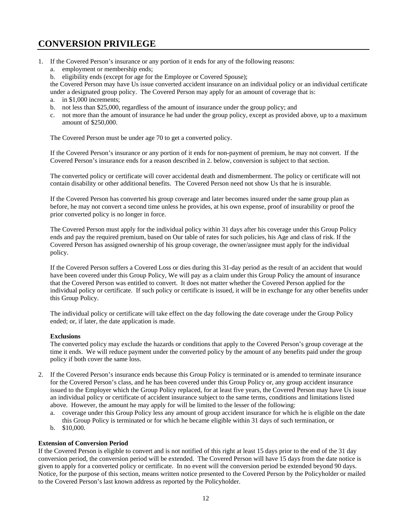# **CONVERSION PRIVILEGE**

- 1. If the Covered Person's insurance or any portion of it ends for any of the following reasons:
	- a. employment or membership ends;
	- b. eligibility ends (except for age for the Employee or Covered Spouse);

the Covered Person may have Us issue converted accident insurance on an individual policy or an individual certificate under a designated group policy. The Covered Person may apply for an amount of coverage that is:

- a. in \$1,000 increments;
- b. not less than \$25,000, regardless of the amount of insurance under the group policy; and
- c. not more than the amount of insurance he had under the group policy, except as provided above, up to a maximum amount of \$250,000.

The Covered Person must be under age 70 to get a converted policy.

If the Covered Person's insurance or any portion of it ends for non-payment of premium, he may not convert. If the Covered Person's insurance ends for a reason described in 2. below, conversion is subject to that section.

The converted policy or certificate will cover accidental death and dismemberment. The policy or certificate will not contain disability or other additional benefits. The Covered Person need not show Us that he is insurable.

If the Covered Person has converted his group coverage and later becomes insured under the same group plan as before, he may not convert a second time unless he provides, at his own expense, proof of insurability or proof the prior converted policy is no longer in force.

The Covered Person must apply for the individual policy within 31 days after his coverage under this Group Policy ends and pay the required premium, based on Our table of rates for such policies, his Age and class of risk. If the Covered Person has assigned ownership of his group coverage, the owner/assignee must apply for the individual policy.

If the Covered Person suffers a Covered Loss or dies during this 31-day period as the result of an accident that would have been covered under this Group Policy, We will pay as a claim under this Group Policy the amount of insurance that the Covered Person was entitled to convert. It does not matter whether the Covered Person applied for the individual policy or certificate. If such policy or certificate is issued, it will be in exchange for any other benefits under this Group Policy.

The individual policy or certificate will take effect on the day following the date coverage under the Group Policy ended; or, if later, the date application is made.

#### **Exclusions**

The converted policy may exclude the hazards or conditions that apply to the Covered Person's group coverage at the time it ends. We will reduce payment under the converted policy by the amount of any benefits paid under the group policy if both cover the same loss.

- 2. If the Covered Person's insurance ends because this Group Policy is terminated or is amended to terminate insurance for the Covered Person's class, and he has been covered under this Group Policy or, any group accident insurance issued to the Employer which the Group Policy replaced, for at least five years, the Covered Person may have Us issue an individual policy or certificate of accident insurance subject to the same terms, conditions and limitations listed above. However, the amount he may apply for will be limited to the lesser of the following:
	- a. coverage under this Group Policy less any amount of group accident insurance for which he is eligible on the date this Group Policy is terminated or for which he became eligible within 31 days of such termination, or
	- b. \$10,000.

#### **Extension of Conversion Period**

If the Covered Person is eligible to convert and is not notified of this right at least 15 days prior to the end of the 31 day conversion period, the conversion period will be extended. The Covered Person will have 15 days from the date notice is given to apply for a converted policy or certificate. In no event will the conversion period be extended beyond 90 days. Notice, for the purpose of this section, means written notice presented to the Covered Person by the Policyholder or mailed to the Covered Person's last known address as reported by the Policyholder.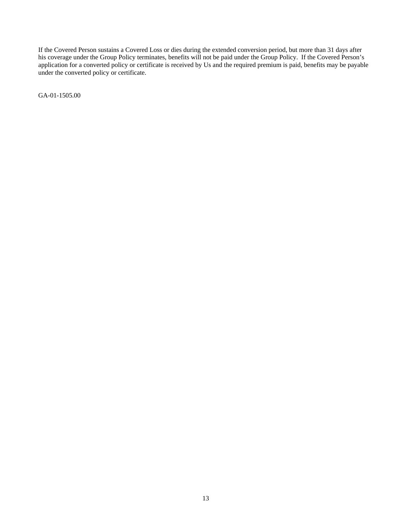If the Covered Person sustains a Covered Loss or dies during the extended conversion period, but more than 31 days after his coverage under the Group Policy terminates, benefits will not be paid under the Group Policy. If the Covered Person's application for a converted policy or certificate is received by Us and the required premium is paid, benefits may be payable under the converted policy or certificate.

GA-01-1505.00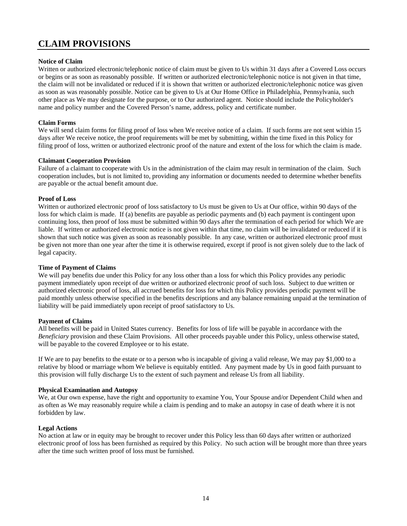# **CLAIM PROVISIONS**

#### **Notice of Claim**

Written or authorized electronic/telephonic notice of claim must be given to Us within 31 days after a Covered Loss occurs or begins or as soon as reasonably possible. If written or authorized electronic/telephonic notice is not given in that time, the claim will not be invalidated or reduced if it is shown that written or authorized electronic/telephonic notice was given as soon as was reasonably possible. Notice can be given to Us at Our Home Office in Philadelphia, Pennsylvania, such other place as We may designate for the purpose, or to Our authorized agent. Notice should include the Policyholder's name and policy number and the Covered Person's name, address, policy and certificate number.

#### **Claim Forms**

We will send claim forms for filing proof of loss when We receive notice of a claim. If such forms are not sent within 15 days after We receive notice, the proof requirements will be met by submitting, within the time fixed in this Policy for filing proof of loss, written or authorized electronic proof of the nature and extent of the loss for which the claim is made.

#### **Claimant Cooperation Provision**

Failure of a claimant to cooperate with Us in the administration of the claim may result in termination of the claim. Such cooperation includes, but is not limited to, providing any information or documents needed to determine whether benefits are payable or the actual benefit amount due.

#### **Proof of Loss**

Written or authorized electronic proof of loss satisfactory to Us must be given to Us at Our office, within 90 days of the loss for which claim is made. If (a) benefits are payable as periodic payments and (b) each payment is contingent upon continuing loss, then proof of loss must be submitted within 90 days after the termination of each period for which We are liable. If written or authorized electronic notice is not given within that time, no claim will be invalidated or reduced if it is shown that such notice was given as soon as reasonably possible. In any case, written or authorized electronic proof must be given not more than one year after the time it is otherwise required, except if proof is not given solely due to the lack of legal capacity.

#### **Time of Payment of Claims**

We will pay benefits due under this Policy for any loss other than a loss for which this Policy provides any periodic payment immediately upon receipt of due written or authorized electronic proof of such loss. Subject to due written or authorized electronic proof of loss, all accrued benefits for loss for which this Policy provides periodic payment will be paid monthly unless otherwise specified in the benefits descriptions and any balance remaining unpaid at the termination of liability will be paid immediately upon receipt of proof satisfactory to Us.

#### **Payment of Claims**

All benefits will be paid in United States currency. Benefits for loss of life will be payable in accordance with the *Beneficiary* provision and these Claim Provisions. All other proceeds payable under this Policy, unless otherwise stated, will be payable to the covered Employee or to his estate.

If We are to pay benefits to the estate or to a person who is incapable of giving a valid release, We may pay \$1,000 to a relative by blood or marriage whom We believe is equitably entitled. Any payment made by Us in good faith pursuant to this provision will fully discharge Us to the extent of such payment and release Us from all liability.

#### **Physical Examination and Autopsy**

We, at Our own expense, have the right and opportunity to examine You, Your Spouse and/or Dependent Child when and as often as We may reasonably require while a claim is pending and to make an autopsy in case of death where it is not forbidden by law.

#### **Legal Actions**

No action at law or in equity may be brought to recover under this Policy less than 60 days after written or authorized electronic proof of loss has been furnished as required by this Policy. No such action will be brought more than three years after the time such written proof of loss must be furnished.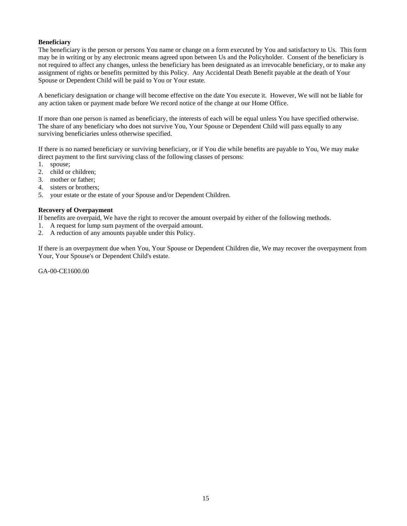#### **Beneficiary**

The beneficiary is the person or persons You name or change on a form executed by You and satisfactory to Us. This form may be in writing or by any electronic means agreed upon between Us and the Policyholder. Consent of the beneficiary is not required to affect any changes, unless the beneficiary has been designated as an irrevocable beneficiary, or to make any assignment of rights or benefits permitted by this Policy. Any Accidental Death Benefit payable at the death of Your Spouse or Dependent Child will be paid to You or Your estate.

A beneficiary designation or change will become effective on the date You execute it. However, We will not be liable for any action taken or payment made before We record notice of the change at our Home Office.

If more than one person is named as beneficiary, the interests of each will be equal unless You have specified otherwise. The share of any beneficiary who does not survive You, Your Spouse or Dependent Child will pass equally to any surviving beneficiaries unless otherwise specified.

If there is no named beneficiary or surviving beneficiary, or if You die while benefits are payable to You, We may make direct payment to the first surviving class of the following classes of persons:

- 1. spouse;
- 2. child or children;
- 3. mother or father;
- 4. sisters or brothers;
- 5. your estate or the estate of your Spouse and/or Dependent Children.

#### **Recovery of Overpayment**

If benefits are overpaid, We have the right to recover the amount overpaid by either of the following methods.

- 1. A request for lump sum payment of the overpaid amount.
- 2. A reduction of any amounts payable under this Policy.

If there is an overpayment due when You, Your Spouse or Dependent Children die, We may recover the overpayment from Your, Your Spouse's or Dependent Child's estate.

GA-00-CE1600.00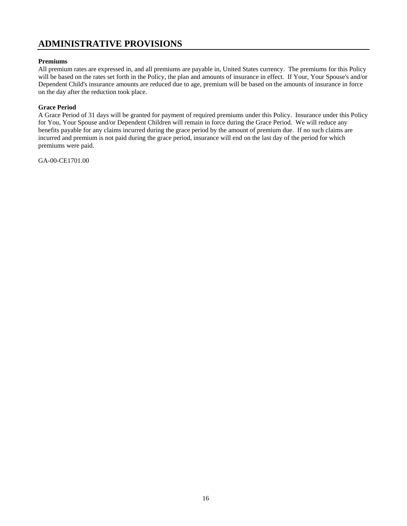### **ADMINISTRATIVE PROVISIONS**

#### **Premiums**

All premium rates are expressed in, and all premiums are payable in, United States currency. The premiums for this Policy will be based on the rates set forth in the Policy, the plan and amounts of insurance in effect. If Your, Your Spouse's and/or Dependent Child's insurance amounts are reduced due to age, premium will be based on the amounts of insurance in force on the day after the reduction took place.

#### **Grace Period**

A Grace Period of 31 days will be granted for payment of required premiums under this Policy. Insurance under this Policy for You, Your Spouse and/or Dependent Children will remain in force during the Grace Period. We will reduce any benefits payable for any claims incurred during the grace period by the amount of premium due. If no such claims are incurred and premium is not paid during the grace period, insurance will end on the last day of the period for which premiums were paid.

GA-00-CE1701.00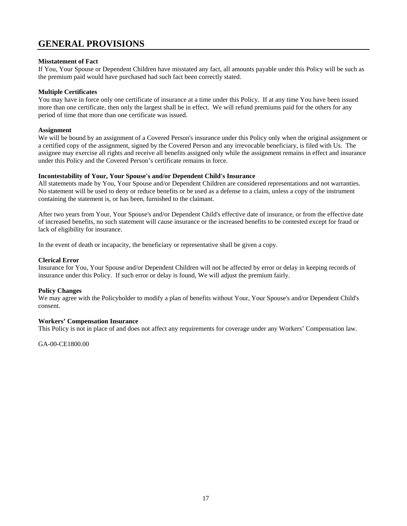### **GENERAL PROVISIONS**

#### **Misstatement of Fact**

If You, Your Spouse or Dependent Children have misstated any fact, all amounts payable under this Policy will be such as the premium paid would have purchased had such fact been correctly stated.

#### **Multiple Certificates**

You may have in force only one certificate of insurance at a time under this Policy. If at any time You have been issued more than one certificate, then only the largest shall be in effect. We will refund premiums paid for the others for any period of time that more than one certificate was issued.

#### **Assignment**

We will be bound by an assignment of a Covered Person's insurance under this Policy only when the original assignment or a certified copy of the assignment, signed by the Covered Person and any irrevocable beneficiary, is filed with Us. The assignee may exercise all rights and receive all benefits assigned only while the assignment remains in effect and insurance under this Policy and the Covered Person's certificate remains in force.

#### **Incontestability of Your, Your Spouse's and/or Dependent Child's Insurance**

All statements made by You, Your Spouse and/or Dependent Children are considered representations and not warranties. No statement will be used to deny or reduce benefits or be used as a defense to a claim, unless a copy of the instrument containing the statement is, or has been, furnished to the claimant.

After two years from Your, Your Spouse's and/or Dependent Child's effective date of insurance, or from the effective date of increased benefits, no such statement will cause insurance or the increased benefits to be contested except for fraud or lack of eligibility for insurance.

In the event of death or incapacity, the beneficiary or representative shall be given a copy.

#### **Clerical Error**

Insurance for You, Your Spouse and/or Dependent Children will not be affected by error or delay in keeping records of insurance under this Policy. If such error or delay is found, We will adjust the premium fairly.

#### **Policy Changes**

We may agree with the Policyholder to modify a plan of benefits without Your, Your Spouse's and/or Dependent Child's consent.

#### **Workers' Compensation Insurance**

This Policy is not in place of and does not affect any requirements for coverage under any Workers' Compensation law.

GA-00-CE1800.00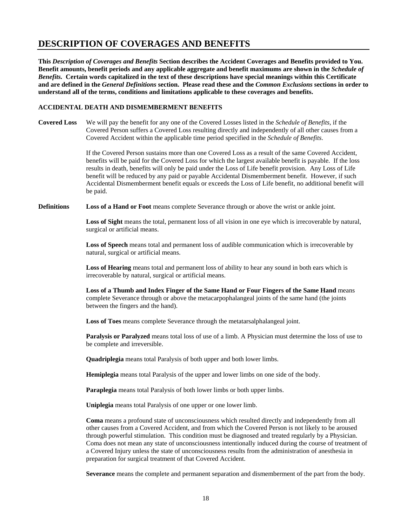### **DESCRIPTION OF COVERAGES AND BENEFITS**

**This** *Description of Coverages and Benefits* **Section describes the Accident Coverages and Benefits provided to You. Benefit amounts, benefit periods and any applicable aggregate and benefit maximums are shown in the** *Schedule of Benefits.* **Certain words capitalized in the text of these descriptions have special meanings within this Certificate and are defined in the** *General Definitions* **section. Please read these and the** *Common Exclusions* **sections in order to understand all of the terms, conditions and limitations applicable to these coverages and benefits.** 

#### **ACCIDENTAL DEATH AND DISMEMBERMENT BENEFITS**

**Covered Loss** We will pay the benefit for any one of the Covered Losses listed in the *Schedule of Benefits,* if the Covered Person suffers a Covered Loss resulting directly and independently of all other causes from a Covered Accident within the applicable time period specified in the *Schedule of Benefits*.

> If the Covered Person sustains more than one Covered Loss as a result of the same Covered Accident, benefits will be paid for the Covered Loss for which the largest available benefit is payable. If the loss results in death, benefits will only be paid under the Loss of Life benefit provision. Any Loss of Life benefit will be reduced by any paid or payable Accidental Dismemberment benefit. However, if such Accidental Dismemberment benefit equals or exceeds the Loss of Life benefit, no additional benefit will be paid.

**Definitions Loss of a Hand or Foot** means complete Severance through or above the wrist or ankle joint.

**Loss of Sight** means the total, permanent loss of all vision in one eye which is irrecoverable by natural, surgical or artificial means.

**Loss of Speech** means total and permanent loss of audible communication which is irrecoverable by natural, surgical or artificial means.

**Loss of Hearing** means total and permanent loss of ability to hear any sound in both ears which is irrecoverable by natural, surgical or artificial means.

**Loss of a Thumb and Index Finger of the Same Hand or Four Fingers of the Same Hand** means complete Severance through or above the metacarpophalangeal joints of the same hand (the joints between the fingers and the hand).

**Loss of Toes** means complete Severance through the metatarsalphalangeal joint.

**Paralysis or Paralyzed** means total loss of use of a limb. A Physician must determine the loss of use to be complete and irreversible.

**Quadriplegia** means total Paralysis of both upper and both lower limbs.

**Hemiplegia** means total Paralysis of the upper and lower limbs on one side of the body.

**Paraplegia** means total Paralysis of both lower limbs or both upper limbs.

**Uniplegia** means total Paralysis of one upper or one lower limb.

**Coma** means a profound state of unconsciousness which resulted directly and independently from all other causes from a Covered Accident, and from which the Covered Person is not likely to be aroused through powerful stimulation. This condition must be diagnosed and treated regularly by a Physician. Coma does not mean any state of unconsciousness intentionally induced during the course of treatment of a Covered Injury unless the state of unconsciousness results from the administration of anesthesia in preparation for surgical treatment of that Covered Accident.

**Severance** means the complete and permanent separation and dismemberment of the part from the body.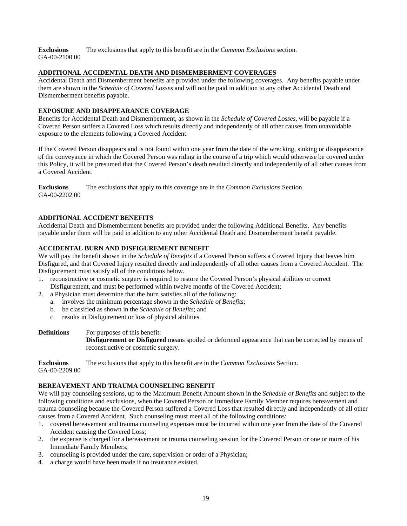**Exclusions** The exclusions that apply to this benefit are in the *Common Exclusions* section. GA-00-2100.00

#### **ADDITIONAL ACCIDENTAL DEATH AND DISMEMBERMENT COVERAGES**

Accidental Death and Dismemberment benefits are provided under the following coverages. Any benefits payable under them are shown in the *Schedule of Covered Losses* and will not be paid in addition to any other Accidental Death and Dismemberment benefits payable.

#### **EXPOSURE AND DISAPPEARANCE COVERAGE**

Benefits for Accidental Death and Dismemberment, as shown in the *Schedule of Covered Losses,* will be payable if a Covered Person suffers a Covered Loss which results directly and independently of all other causes from unavoidable exposure to the elements following a Covered Accident.

If the Covered Person disappears and is not found within one year from the date of the wrecking, sinking or disappearance of the conveyance in which the Covered Person was riding in the course of a trip which would otherwise be covered under this Policy, it will be presumed that the Covered Person's death resulted directly and independently of all other causes from a Covered Accident.

**Exclusions** The exclusions that apply to this coverage are in the *Common Exclusions* Section. GA-00-2202.00

#### **ADDITIONAL ACCIDENT BENEFITS**

Accidental Death and Dismemberment benefits are provided under the following Additional Benefits. Any benefits payable under them will be paid in addition to any other Accidental Death and Dismemberment benefit payable.

#### **ACCIDENTAL BURN AND DISFIGUREMENT BENEFIT**

We will pay the benefit shown in the *Schedule of Benefits* if a Covered Person suffers a Covered Injury that leaves him Disfigured, and that Covered Injury resulted directly and independently of all other causes from a Covered Accident. The Disfigurement must satisfy all of the conditions below.

- 1. reconstructive or cosmetic surgery is required to restore the Covered Person's physical abilities or correct Disfigurement, and must be performed within twelve months of the Covered Accident;
- 2. a Physician must determine that the burn satisfies all of the following:
	- a. involves the minimum percentage shown in the *Schedule of Benefits*;
		- b. be classified as shown in the *Schedule of Benefits*; and
		- c. results in Disfigurement or loss of physical abilities.
- **Definitions** For purposes of this benefit: **Disfigurement or Disfigured** means spoiled or deformed appearance that can be corrected by means of reconstructive or cosmetic surgery.

**Exclusions** The exclusions that apply to this benefit are in the *Common Exclusions* Section. GA-00-2209.00

#### **BEREAVEMENT AND TRAUMA COUNSELING BENEFIT**

We will pay counseling sessions, up to the Maximum Benefit Amount shown in the *Schedule of Benefits* and subject to the following conditions and exclusions, when the Covered Person or Immediate Family Member requires bereavement and trauma counseling because the Covered Person suffered a Covered Loss that resulted directly and independently of all other causes from a Covered Accident. Such counseling must meet all of the following conditions:

- 1. covered bereavement and trauma counseling expenses must be incurred within one year from the date of the Covered Accident causing the Covered Loss;
- 2. the expense is charged for a bereavement or trauma counseling session for the Covered Person or one or more of his Immediate Family Members;
- 3. counseling is provided under the care, supervision or order of a Physician;
- 4. a charge would have been made if no insurance existed.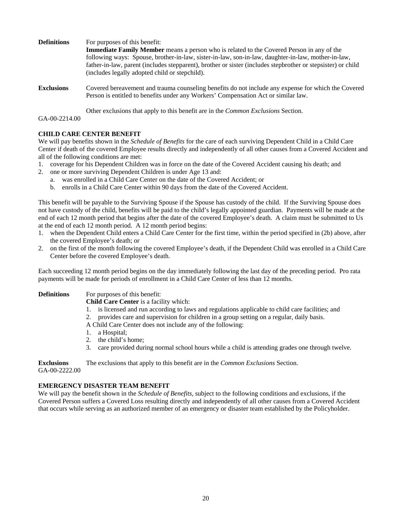| <b>Definitions</b> | For purposes of this benefit:<br><b>Immediate Family Member</b> means a person who is related to the Covered Person in any of the<br>following ways: Spouse, brother-in-law, sister-in-law, son-in-law, daughter-in-law, mother-in-law,<br>father-in-law, parent (includes stepparent), brother or sister (includes stepbrother or stepsister) or child<br>(includes legally adopted child or stepchild). |
|--------------------|-----------------------------------------------------------------------------------------------------------------------------------------------------------------------------------------------------------------------------------------------------------------------------------------------------------------------------------------------------------------------------------------------------------|
| <b>Exclusions</b>  | Covered bereavement and trauma counseling benefits do not include any expense for which the Covered<br>Person is entitled to benefits under any Workers' Compensation Act or similar law.                                                                                                                                                                                                                 |
|                    | Other exclusions that apply to this benefit are in the <i>Common Exclusions</i> Section.                                                                                                                                                                                                                                                                                                                  |

GA-00-2214.00

#### **CHILD CARE CENTER BENEFIT**

We will pay benefits shown in the *Schedule of Benefits* for the care of each surviving Dependent Child in a Child Care Center if death of the covered Employee results directly and independently of all other causes from a Covered Accident and all of the following conditions are met:

- 1. coverage for his Dependent Children was in force on the date of the Covered Accident causing his death; and
- 2. one or more surviving Dependent Children is under Age 13 and:
	- a. was enrolled in a Child Care Center on the date of the Covered Accident; or
	- b. enrolls in a Child Care Center within 90 days from the date of the Covered Accident.

This benefit will be payable to the Surviving Spouse if the Spouse has custody of the child. If the Surviving Spouse does not have custody of the child, benefits will be paid to the child's legally appointed guardian. Payments will be made at the end of each 12 month period that begins after the date of the covered Employee's death. A claim must be submitted to Us at the end of each 12 month period. A 12 month period begins:

- 1. when the Dependent Child enters a Child Care Center for the first time, within the period specified in (2b) above, after the covered Employee's death; or
- 2. on the first of the month following the covered Employee's death, if the Dependent Child was enrolled in a Child Care Center before the covered Employee's death.

Each succeeding 12 month period begins on the day immediately following the last day of the preceding period. Pro rata payments will be made for periods of enrollment in a Child Care Center of less than 12 months.

**Definitions** For purposes of this benefit:

- **Child Care Center** is a facility which:
- 1. is licensed and run according to laws and regulations applicable to child care facilities; and
- 2. provides care and supervision for children in a group setting on a regular, daily basis.
- A Child Care Center does not include any of the following:
- 1. a Hospital;
- 2. the child's home;
- 3. care provided during normal school hours while a child is attending grades one through twelve.

**Exclusions** The exclusions that apply to this benefit are in the *Common Exclusions* Section.

GA-00-2222.00

#### **EMERGENCY DISASTER TEAM BENEFIT**

We will pay the benefit shown in the *Schedule of Benefits,* subject to the following conditions and exclusions, if the Covered Person suffers a Covered Loss resulting directly and independently of all other causes from a Covered Accident that occurs while serving as an authorized member of an emergency or disaster team established by the Policyholder.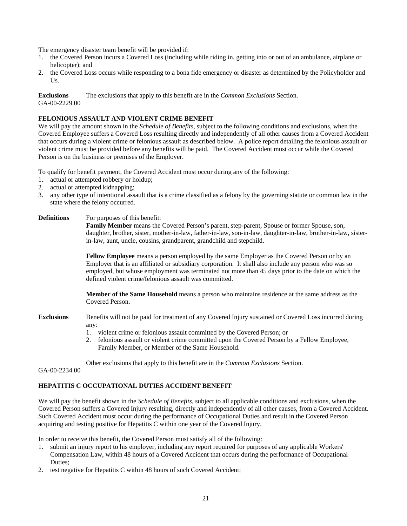The emergency disaster team benefit will be provided if:

- 1. the Covered Person incurs a Covered Loss (including while riding in, getting into or out of an ambulance, airplane or helicopter); and
- 2. the Covered Loss occurs while responding to a bona fide emergency or disaster as determined by the Policyholder and Us.

**Exclusions** The exclusions that apply to this benefit are in the *Common Exclusions* Section. GA-00-2229.00

#### **FELONIOUS ASSAULT AND VIOLENT CRIME BENEFIT**

We will pay the amount shown in the *Schedule of Benefits,* subject to the following conditions and exclusions, when the Covered Employee suffers a Covered Loss resulting directly and independently of all other causes from a Covered Accident that occurs during a violent crime or felonious assault as described below. A police report detailing the felonious assault or violent crime must be provided before any benefits will be paid. The Covered Accident must occur while the Covered Person is on the business or premises of the Employer.

To qualify for benefit payment, the Covered Accident must occur during any of the following:

- 1. actual or attempted robbery or holdup;
- 2. actual or attempted kidnapping;
- 3. any other type of intentional assault that is a crime classified as a felony by the governing statute or common law in the state where the felony occurred.

#### **Definitions** For purposes of this benefit:

**Family Member** means the Covered Person's parent, step-parent, Spouse or former Spouse, son, daughter, brother, sister, mother-in-law, father-in-law, son-in-law, daughter-in-law, brother-in-law, sisterin-law, aunt, uncle, cousins, grandparent, grandchild and stepchild.

**Fellow Employee** means a person employed by the same Employer as the Covered Person or by an Employer that is an affiliated or subsidiary corporation. It shall also include any person who was so employed, but whose employment was terminated not more than 45 days prior to the date on which the defined violent crime/felonious assault was committed.

**Member of the Same Household** means a person who maintains residence at the same address as the Covered Person.

- **Exclusions** Benefits will not be paid for treatment of any Covered Injury sustained or Covered Loss incurred during any:
	- 1. violent crime or felonious assault committed by the Covered Person; or
	- 2. felonious assault or violent crime committed upon the Covered Person by a Fellow Employee, Family Member, or Member of the Same Household.

Other exclusions that apply to this benefit are in the *Common Exclusions* Section.

GA-00-2234.00

#### **HEPATITIS C OCCUPATIONAL DUTIES ACCIDENT BENEFIT**

We will pay the benefit shown in the *Schedule of Benefits,* subject to all applicable conditions and exclusions, when the Covered Person suffers a Covered Injury resulting, directly and independently of all other causes, from a Covered Accident. Such Covered Accident must occur during the performance of Occupational Duties and result in the Covered Person acquiring and testing positive for Hepatitis C within one year of the Covered Injury.

In order to receive this benefit, the Covered Person must satisfy all of the following:

- 1. submit an injury report to his employer, including any report required for purposes of any applicable Workers' Compensation Law, within 48 hours of a Covered Accident that occurs during the performance of Occupational Duties;
- 2. test negative for Hepatitis C within 48 hours of such Covered Accident;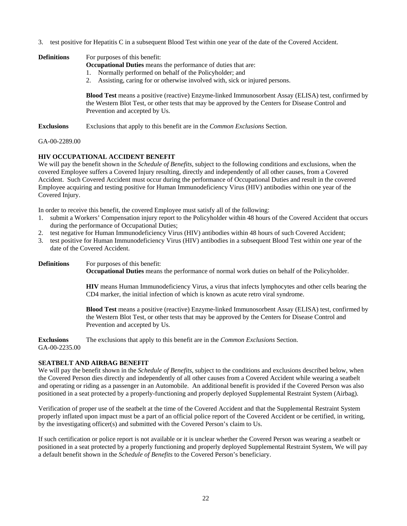3. test positive for Hepatitis C in a subsequent Blood Test within one year of the date of the Covered Accident.

| <b>Definitions</b> | For purposes of this benefit:<br><b>Occupational Duties</b> means the performance of duties that are:<br>1. Normally performed on behalf of the Policyholder; and<br>2. Assisting, caring for or otherwise involved with, sick or injured persons. |  |
|--------------------|----------------------------------------------------------------------------------------------------------------------------------------------------------------------------------------------------------------------------------------------------|--|
|                    | <b>Blood Test</b> means a positive (reactive) Enzyme-linked Immunosorbent Assay (ELISA) test, confirmed by<br>the Western Blot Test, or other tests that may be approved by the Centers for Disease Control and<br>Prevention and accepted by Us.  |  |
| <b>Exclusions</b>  | Exclusions that apply to this benefit are in the <i>Common Exclusions</i> Section.                                                                                                                                                                 |  |

GA-00-2289.00

#### **HIV OCCUPATIONAL ACCIDENT BENEFIT**

We will pay the benefit shown in the *Schedule of Benefits,* subject to the following conditions and exclusions, when the covered Employee suffers a Covered Injury resulting, directly and independently of all other causes, from a Covered Accident. Such Covered Accident must occur during the performance of Occupational Duties and result in the covered Employee acquiring and testing positive for Human Immunodeficiency Virus (HIV) antibodies within one year of the Covered Injury.

In order to receive this benefit, the covered Employee must satisfy all of the following:

- 1. submit a Workers' Compensation injury report to the Policyholder within 48 hours of the Covered Accident that occurs during the performance of Occupational Duties;
- 2. test negative for Human Immunodeficiency Virus (HIV) antibodies within 48 hours of such Covered Accident;
- 3. test positive for Human Immunodeficiency Virus (HIV) antibodies in a subsequent Blood Test within one year of the date of the Covered Accident.

**Definitions** For purposes of this benefit:

**Occupational Duties** means the performance of normal work duties on behalf of the Policyholder.

**HIV** means Human Immunodeficiency Virus, a virus that infects lymphocytes and other cells bearing the CD4 marker, the initial infection of which is known as acute retro viral syndrome.

**Blood Test** means a positive (reactive) Enzyme-linked Immunosorbent Assay (ELISA) test, confirmed by the Western Blot Test, or other tests that may be approved by the Centers for Disease Control and Prevention and accepted by Us.

**Exclusions** The exclusions that apply to this benefit are in the *Common Exclusions* Section. GA-00-2235.00

#### **SEATBELT AND AIRBAG BENEFIT**

We will pay the benefit shown in the *Schedule of Benefits,* subject to the conditions and exclusions described below, when the Covered Person dies directly and independently of all other causes from a Covered Accident while wearing a seatbelt and operating or riding as a passenger in an Automobile. An additional benefit is provided if the Covered Person was also positioned in a seat protected by a properly-functioning and properly deployed Supplemental Restraint System (Airbag).

Verification of proper use of the seatbelt at the time of the Covered Accident and that the Supplemental Restraint System properly inflated upon impact must be a part of an official police report of the Covered Accident or be certified, in writing, by the investigating officer(s) and submitted with the Covered Person's claim to Us.

If such certification or police report is not available or it is unclear whether the Covered Person was wearing a seatbelt or positioned in a seat protected by a properly functioning and properly deployed Supplemental Restraint System, We will pay a default benefit shown in the *Schedule of Benefits* to the Covered Person's beneficiary.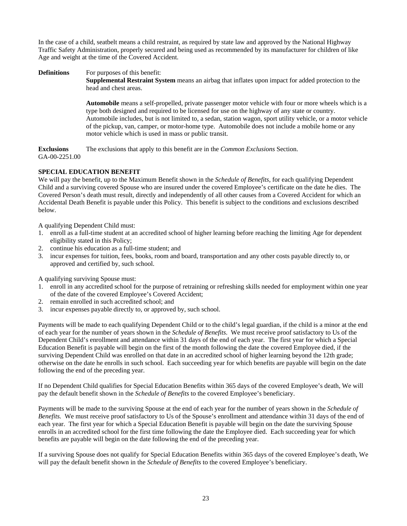In the case of a child, seatbelt means a child restraint, as required by state law and approved by the National Highway Traffic Safety Administration, properly secured and being used as recommended by its manufacturer for children of like Age and weight at the time of the Covered Accident.

**Definitions** For purposes of this benefit: **Supplemental Restraint System** means an airbag that inflates upon impact for added protection to the head and chest areas.

> **Automobile** means a self-propelled, private passenger motor vehicle with four or more wheels which is a type both designed and required to be licensed for use on the highway of any state or country. Automobile includes, but is not limited to, a sedan, station wagon, sport utility vehicle, or a motor vehicle of the pickup, van, camper, or motor-home type. Automobile does not include a mobile home or any motor vehicle which is used in mass or public transit.

**Exclusions** The exclusions that apply to this benefit are in the *Common Exclusions* Section. GA-00-2251.00

#### **SPECIAL EDUCATION BENEFIT**

We will pay the benefit, up to the Maximum Benefit shown in the *Schedule of Benefits,* for each qualifying Dependent Child and a surviving covered Spouse who are insured under the covered Employee's certificate on the date he dies. The Covered Person's death must result, directly and independently of all other causes from a Covered Accident for which an Accidental Death Benefit is payable under this Policy. This benefit is subject to the conditions and exclusions described below.

A qualifying Dependent Child must:

- 1. enroll as a full-time student at an accredited school of higher learning before reaching the limiting Age for dependent eligibility stated in this Policy;
- 2. continue his education as a full-time student; and
- 3. incur expenses for tuition, fees, books, room and board, transportation and any other costs payable directly to, or approved and certified by, such school.

A qualifying surviving Spouse must:

- 1. enroll in any accredited school for the purpose of retraining or refreshing skills needed for employment within one year of the date of the covered Employee's Covered Accident;
- 2. remain enrolled in such accredited school; and
- 3. incur expenses payable directly to, or approved by, such school.

Payments will be made to each qualifying Dependent Child or to the child's legal guardian, if the child is a minor at the end of each year for the number of years shown in the *Schedule of Benefits*. We must receive proof satisfactory to Us of the Dependent Child's enrollment and attendance within 31 days of the end of each year. The first year for which a Special Education Benefit is payable will begin on the first of the month following the date the covered Employee died, if the surviving Dependent Child was enrolled on that date in an accredited school of higher learning beyond the 12th grade; otherwise on the date he enrolls in such school. Each succeeding year for which benefits are payable will begin on the date following the end of the preceding year.

If no Dependent Child qualifies for Special Education Benefits within 365 days of the covered Employee's death, We will pay the default benefit shown in the *Schedule of Benefits* to the covered Employee's beneficiary.

Payments will be made to the surviving Spouse at the end of each year for the number of years shown in the *Schedule of Benefits.* We must receive proof satisfactory to Us of the Spouse's enrollment and attendance within 31 days of the end of each year. The first year for which a Special Education Benefit is payable will begin on the date the surviving Spouse enrolls in an accredited school for the first time following the date the Employee died. Each succeeding year for which benefits are payable will begin on the date following the end of the preceding year.

If a surviving Spouse does not qualify for Special Education Benefits within 365 days of the covered Employee's death, We will pay the default benefit shown in the *Schedule of Benefits* to the covered Employee's beneficiary.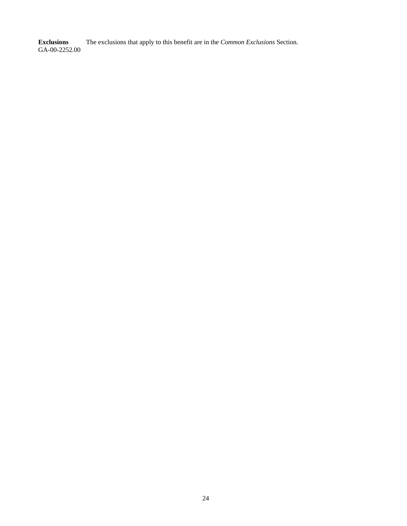**Exclusions** The exclusions that apply to this benefit are in the *Common Exclusions* Section. **Exclusions**<br>GA-00-2252.00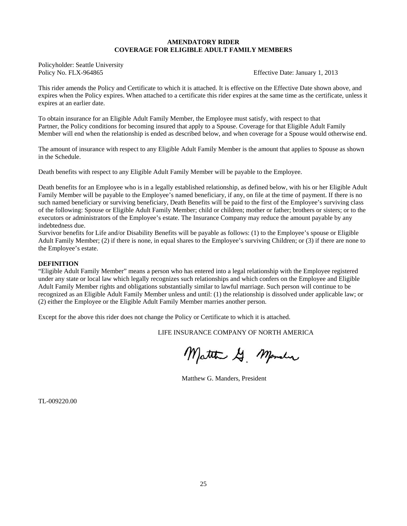#### **AMENDATORY RIDER COVERAGE FOR ELIGIBLE ADULT FAMILY MEMBERS**

Policyholder: Seattle University Policy No. FLX-964865 **Effective Date: January 1, 2013** 

This rider amends the Policy and Certificate to which it is attached. It is effective on the Effective Date shown above, and expires when the Policy expires. When attached to a certificate this rider expires at the same time as the certificate, unless it expires at an earlier date.

To obtain insurance for an Eligible Adult Family Member, the Employee must satisfy, with respect to that Partner, the Policy conditions for becoming insured that apply to a Spouse. Coverage for that Eligible Adult Family Member will end when the relationship is ended as described below, and when coverage for a Spouse would otherwise end.

The amount of insurance with respect to any Eligible Adult Family Member is the amount that applies to Spouse as shown in the Schedule.

Death benefits with respect to any Eligible Adult Family Member will be payable to the Employee.

Death benefits for an Employee who is in a legally established relationship, as defined below, with his or her Eligible Adult Family Member will be payable to the Employee's named beneficiary, if any, on file at the time of payment. If there is no such named beneficiary or surviving beneficiary, Death Benefits will be paid to the first of the Employee's surviving class of the following: Spouse or Eligible Adult Family Member; child or children; mother or father; brothers or sisters; or to the executors or administrators of the Employee's estate. The Insurance Company may reduce the amount payable by any indebtedness due.

Survivor benefits for Life and/or Disability Benefits will be payable as follows: (1) to the Employee's spouse or Eligible Adult Family Member; (2) if there is none, in equal shares to the Employee's surviving Children; or (3) if there are none to the Employee's estate.

#### **DEFINITION**

"Eligible Adult Family Member" means a person who has entered into a legal relationship with the Employee registered under any state or local law which legally recognizes such relationships and which confers on the Employee and Eligible Adult Family Member rights and obligations substantially similar to lawful marriage. Such person will continue to be recognized as an Eligible Adult Family Member unless and until: (1) the relationship is dissolved under applicable law; or (2) either the Employee or the Eligible Adult Family Member marries another person.

Except for the above this rider does not change the Policy or Certificate to which it is attached.

LIFE INSURANCE COMPANY OF NORTH AMERICA

Matthe G. Mander

Matthew G. Manders, President

TL-009220.00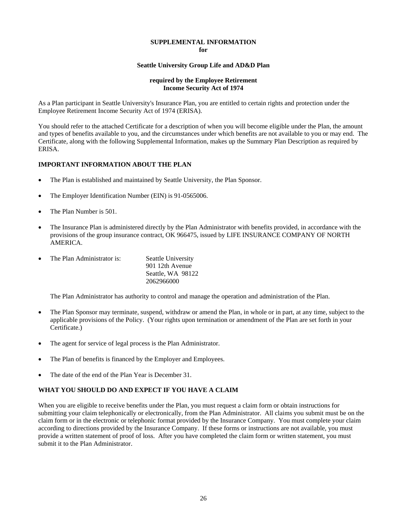### **SUPPLEMENTAL INFORMATION**

**for** 

#### **Seattle University Group Life and AD&D Plan**

#### **required by the Employee Retirement Income Security Act of 1974**

As a Plan participant in Seattle University's Insurance Plan, you are entitled to certain rights and protection under the Employee Retirement Income Security Act of 1974 (ERISA).

You should refer to the attached Certificate for a description of when you will become eligible under the Plan, the amount and types of benefits available to you, and the circumstances under which benefits are not available to you or may end. The Certificate, along with the following Supplemental Information, makes up the Summary Plan Description as required by ERISA.

#### **IMPORTANT INFORMATION ABOUT THE PLAN**

- The Plan is established and maintained by Seattle University, the Plan Sponsor.
- The Employer Identification Number (EIN) is 91-0565006.
- The Plan Number is 501.
- The Insurance Plan is administered directly by the Plan Administrator with benefits provided, in accordance with the provisions of the group insurance contract, OK 966475, issued by LIFE INSURANCE COMPANY OF NORTH AMERICA.

| The Plan Administrator is: | <b>Seattle University</b> |
|----------------------------|---------------------------|
|                            | 901 12th Avenue           |

901 12th Avenue Seattle, WA 98122 2062966000

The Plan Administrator has authority to control and manage the operation and administration of the Plan.

- The Plan Sponsor may terminate, suspend, withdraw or amend the Plan, in whole or in part, at any time, subject to the applicable provisions of the Policy. (Your rights upon termination or amendment of the Plan are set forth in your Certificate.)
- The agent for service of legal process is the Plan Administrator.
- The Plan of benefits is financed by the Employer and Employees.
- The date of the end of the Plan Year is December 31.

#### **WHAT YOU SHOULD DO AND EXPECT IF YOU HAVE A CLAIM**

When you are eligible to receive benefits under the Plan, you must request a claim form or obtain instructions for submitting your claim telephonically or electronically, from the Plan Administrator. All claims you submit must be on the claim form or in the electronic or telephonic format provided by the Insurance Company. You must complete your claim according to directions provided by the Insurance Company. If these forms or instructions are not available, you must provide a written statement of proof of loss. After you have completed the claim form or written statement, you must submit it to the Plan Administrator.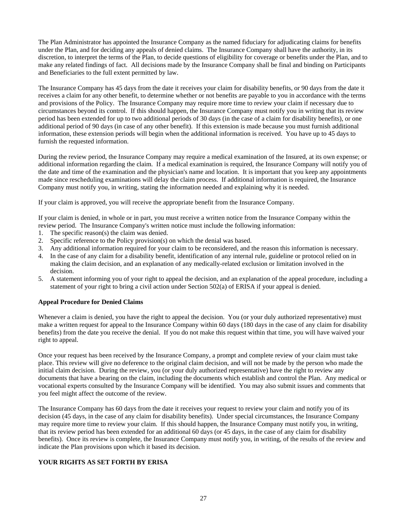The Plan Administrator has appointed the Insurance Company as the named fiduciary for adjudicating claims for benefits under the Plan, and for deciding any appeals of denied claims. The Insurance Company shall have the authority, in its discretion, to interpret the terms of the Plan, to decide questions of eligibility for coverage or benefits under the Plan, and to make any related findings of fact. All decisions made by the Insurance Company shall be final and binding on Participants and Beneficiaries to the full extent permitted by law.

The Insurance Company has 45 days from the date it receives your claim for disability benefits, or 90 days from the date it receives a claim for any other benefit, to determine whether or not benefits are payable to you in accordance with the terms and provisions of the Policy. The Insurance Company may require more time to review your claim if necessary due to circumstances beyond its control. If this should happen, the Insurance Company must notify you in writing that its review period has been extended for up to two additional periods of 30 days (in the case of a claim for disability benefits), or one additional period of 90 days (in case of any other benefit). If this extension is made because you must furnish additional information, these extension periods will begin when the additional information is received. You have up to 45 days to furnish the requested information.

During the review period, the Insurance Company may require a medical examination of the Insured, at its own expense; or additional information regarding the claim. If a medical examination is required, the Insurance Company will notify you of the date and time of the examination and the physician's name and location. It is important that you keep any appointments made since rescheduling examinations will delay the claim process. If additional information is required, the Insurance Company must notify you, in writing, stating the information needed and explaining why it is needed.

If your claim is approved, you will receive the appropriate benefit from the Insurance Company.

If your claim is denied, in whole or in part, you must receive a written notice from the Insurance Company within the review period. The Insurance Company's written notice must include the following information:

- 1. The specific reason(s) the claim was denied.
- 2. Specific reference to the Policy provision(s) on which the denial was based.
- 3. Any additional information required for your claim to be reconsidered, and the reason this information is necessary.
- 4. In the case of any claim for a disability benefit, identification of any internal rule, guideline or protocol relied on in making the claim decision, and an explanation of any medically-related exclusion or limitation involved in the decision.
- 5. A statement informing you of your right to appeal the decision, and an explanation of the appeal procedure, including a statement of your right to bring a civil action under Section 502(a) of ERISA if your appeal is denied.

#### **Appeal Procedure for Denied Claims**

Whenever a claim is denied, you have the right to appeal the decision. You (or your duly authorized representative) must make a written request for appeal to the Insurance Company within 60 days (180 days in the case of any claim for disability benefits) from the date you receive the denial. If you do not make this request within that time, you will have waived your right to appeal.

Once your request has been received by the Insurance Company, a prompt and complete review of your claim must take place. This review will give no deference to the original claim decision, and will not be made by the person who made the initial claim decision. During the review, you (or your duly authorized representative) have the right to review any documents that have a bearing on the claim, including the documents which establish and control the Plan. Any medical or vocational experts consulted by the Insurance Company will be identified. You may also submit issues and comments that you feel might affect the outcome of the review.

The Insurance Company has 60 days from the date it receives your request to review your claim and notify you of its decision (45 days, in the case of any claim for disability benefits). Under special circumstances, the Insurance Company may require more time to review your claim. If this should happen, the Insurance Company must notify you, in writing, that its review period has been extended for an additional 60 days (or 45 days, in the case of any claim for disability benefits). Once its review is complete, the Insurance Company must notify you, in writing, of the results of the review and indicate the Plan provisions upon which it based its decision.

#### **YOUR RIGHTS AS SET FORTH BY ERISA**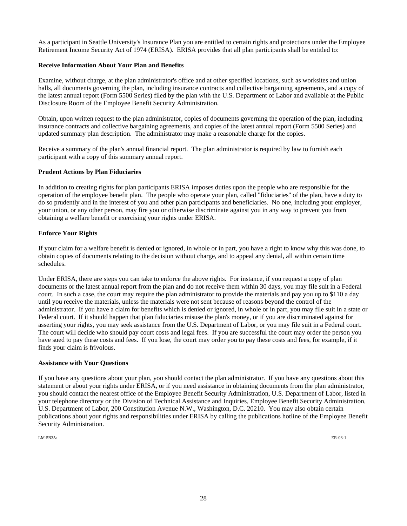As a participant in Seattle University's Insurance Plan you are entitled to certain rights and protections under the Employee Retirement Income Security Act of 1974 (ERISA). ERISA provides that all plan participants shall be entitled to:

#### **Receive Information About Your Plan and Benefits**

Examine, without charge, at the plan administrator's office and at other specified locations, such as worksites and union halls, all documents governing the plan, including insurance contracts and collective bargaining agreements, and a copy of the latest annual report (Form 5500 Series) filed by the plan with the U.S. Department of Labor and available at the Public Disclosure Room of the Employee Benefit Security Administration.

Obtain, upon written request to the plan administrator, copies of documents governing the operation of the plan, including insurance contracts and collective bargaining agreements, and copies of the latest annual report (Form 5500 Series) and updated summary plan description. The administrator may make a reasonable charge for the copies.

Receive a summary of the plan's annual financial report. The plan administrator is required by law to furnish each participant with a copy of this summary annual report.

#### **Prudent Actions by Plan Fiduciaries**

In addition to creating rights for plan participants ERISA imposes duties upon the people who are responsible for the operation of the employee benefit plan. The people who operate your plan, called "fiduciaries'' of the plan, have a duty to do so prudently and in the interest of you and other plan participants and beneficiaries. No one, including your employer, your union, or any other person, may fire you or otherwise discriminate against you in any way to prevent you from obtaining a welfare benefit or exercising your rights under ERISA.

#### **Enforce Your Rights**

If your claim for a welfare benefit is denied or ignored, in whole or in part, you have a right to know why this was done, to obtain copies of documents relating to the decision without charge, and to appeal any denial, all within certain time schedules.

Under ERISA, there are steps you can take to enforce the above rights. For instance, if you request a copy of plan documents or the latest annual report from the plan and do not receive them within 30 days, you may file suit in a Federal court. In such a case, the court may require the plan administrator to provide the materials and pay you up to \$110 a day until you receive the materials, unless the materials were not sent because of reasons beyond the control of the administrator. If you have a claim for benefits which is denied or ignored, in whole or in part, you may file suit in a state or Federal court. If it should happen that plan fiduciaries misuse the plan's money, or if you are discriminated against for asserting your rights, you may seek assistance from the U.S. Department of Labor, or you may file suit in a Federal court. The court will decide who should pay court costs and legal fees. If you are successful the court may order the person you have sued to pay these costs and fees. If you lose, the court may order you to pay these costs and fees, for example, if it finds your claim is frivolous.

#### **Assistance with Your Questions**

If you have any questions about your plan, you should contact the plan administrator. If you have any questions about this statement or about your rights under ERISA, or if you need assistance in obtaining documents from the plan administrator, you should contact the nearest office of the Employee Benefit Security Administration, U.S. Department of Labor, listed in your telephone directory or the Division of Technical Assistance and Inquiries, Employee Benefit Security Administration, U.S. Department of Labor, 200 Constitution Avenue N.W., Washington, D.C. 20210. You may also obtain certain publications about your rights and responsibilities under ERISA by calling the publications hotline of the Employee Benefit Security Administration.

LM-5B35a ER-03-1